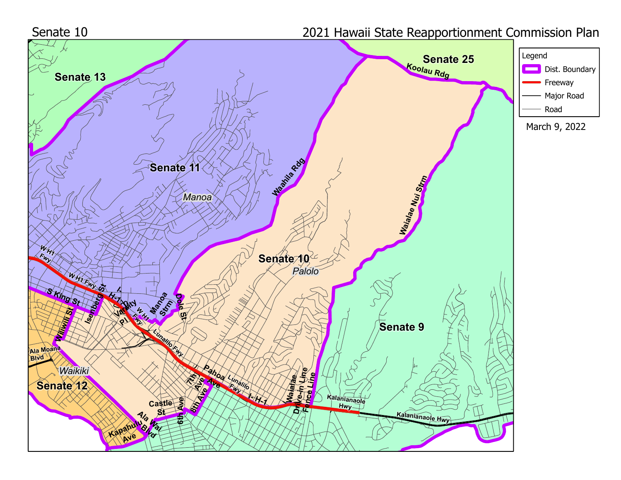